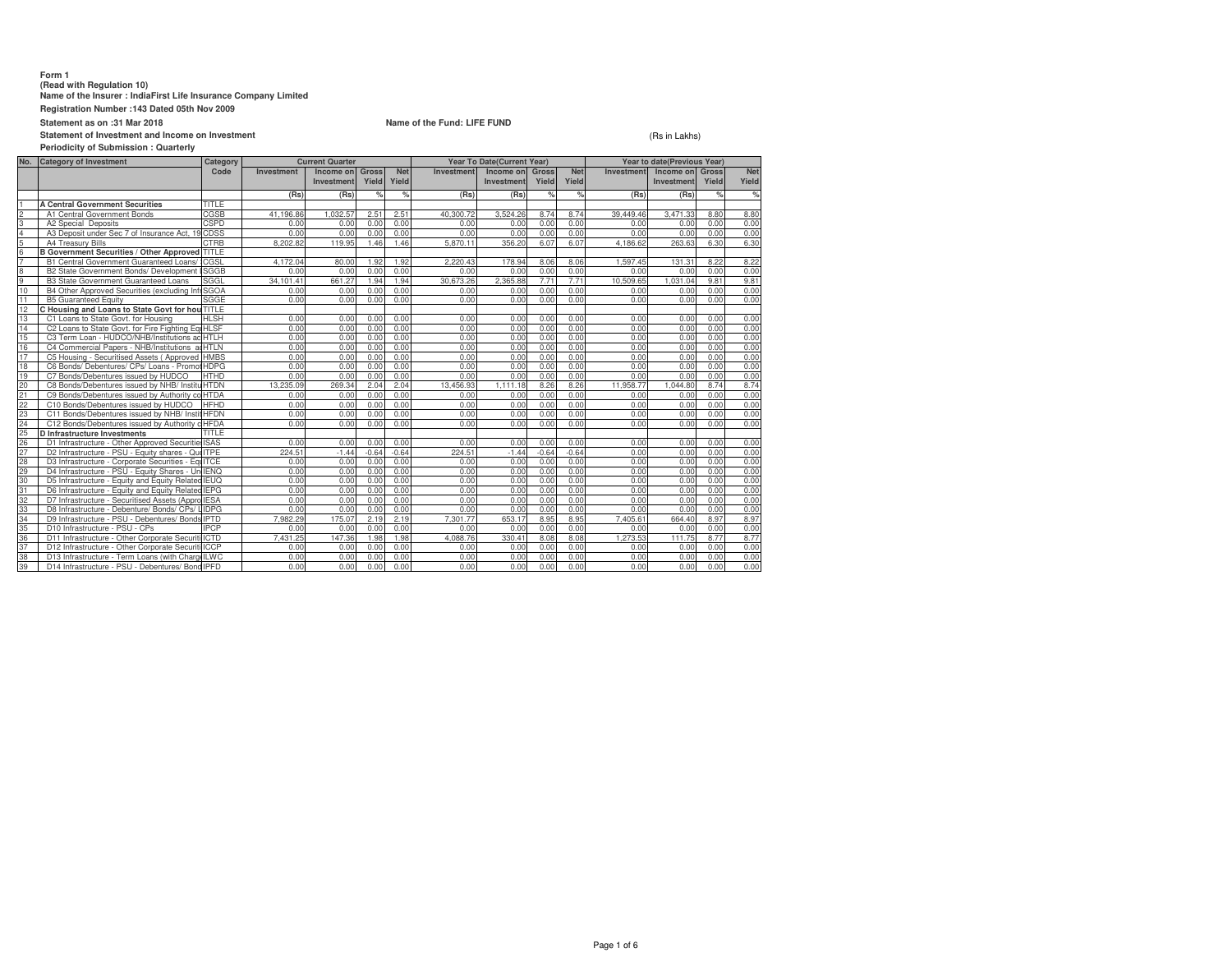### **Form 1**

# **(Read with Regulation 10) Name of the Insurer : IndiaFirst Life Insurance Company Limited**

**Registration Number :143 Dated 05th Nov 2009**

# **Statement as on :31 Mar 2018**

**Statement of Investment and Income on InvestmentPeriodicity of Submission : Quarterly**

### **Name of the Fund: LIFE FUND**

### (Rs in Lakhs)

|                                    | renouncity of Submission. Guarterry<br><b>Category of Investment</b><br><b>Current Quarter</b><br>Year To Date(Current Year)<br>Category |              |            |            | Year to date(Previous Year) |            |                   |            |              |            |            |                 |       |            |
|------------------------------------|------------------------------------------------------------------------------------------------------------------------------------------|--------------|------------|------------|-----------------------------|------------|-------------------|------------|--------------|------------|------------|-----------------|-------|------------|
| No.                                |                                                                                                                                          | Code         |            |            |                             |            |                   |            |              |            |            |                 |       |            |
|                                    |                                                                                                                                          |              | Investment | Income on  | <b>Gross</b>                | <b>Net</b> | <b>Investment</b> | Income on  | <b>Gross</b> | <b>Net</b> | Investment | Income on Gross |       | <b>Net</b> |
|                                    |                                                                                                                                          |              |            | Investment | Yield                       | Yield      |                   | Investment | Yield        | Yield      |            | Investment      | Yield | Yield      |
|                                    |                                                                                                                                          |              | (Rs)       | (Rs)       | %                           | %          | (Rs)              | (Rs)       | %            | %          | (Rs)       | (Rs)            | %     | $\%$       |
|                                    | <b>A Central Government Securities</b>                                                                                                   | TITLE        |            |            |                             |            |                   |            |              |            |            |                 |       |            |
| co co                              | A1 Central Government Bonds                                                                                                              | CGSB         | 41.196.86  | 1.032.57   | 2.51                        | 2.51       | 40,300.72         | 3.524.26   | 8.74         | 8.74       | 39,449.46  | 3.471.33        | 8.80  | 8.80       |
|                                    | A2 Special Deposits                                                                                                                      | <b>CSPD</b>  | 0.00       | 0.00       | 0.00                        | 0.00       | 0.00              | 0.00       | 0.00         | 0.00       | 0.00       | 0.00            | 0.00  | 0.00       |
| 4                                  | A3 Deposit under Sec 7 of Insurance Act, 19 CDSS                                                                                         |              | 0.00       | 0.00       | 0.00                        | 0.00       | 0.00              | 0.00       | 0.00         | 0.00       | 0.00       | 0.00            | 0.00  | 0.00       |
| 5 <sub>6</sub>                     | A4 Treasury Bills                                                                                                                        | <b>CTRB</b>  | 8.202.82   | 119.95     | 1.46                        | 1.46       | 5.870.11          | 356.20     | 6.07         | 6.07       | 4.186.62   | 263.63          | 6.30  | 6.30       |
|                                    | <b>B Government Securities / Other Approved TITLE</b>                                                                                    |              |            |            |                             |            |                   |            |              |            |            |                 |       |            |
| ۳                                  | B1 Central Government Guaranteed Loans/                                                                                                  | <b>CGSL</b>  | 4.172.04   | 80.00      | 1.92                        | 1.92       | 2.220.43          | 178.94     | 8.06         | 8.06       | 1.597.45   | 131.31          | 8.22  | 8.22       |
| 8<br>9                             | B2 State Government Bonds/ Development                                                                                                   | <b>ISGGB</b> | 0.00       | 0.00       | 0.00                        | 0.00       | 0.00              | 0.00       | 0.00         | 0.00       | 0.00       | 0.00            | 0.00  | 0.00       |
|                                    | <b>B3 State Government Guaranteed Loans</b>                                                                                              | SGGL         | 34,101.41  | 661.27     | 1.94                        | 1.94       | 30,673.26         | 2,365.88   | 7.71         | 7.71       | 10,509.65  | 1,031.04        | 9.81  | 9.81       |
| 10                                 | B4 Other Approved Securities (excluding Infi SGOA                                                                                        |              | 0.00       | 0.00       | 0.00                        | 0.00       | 0.00              | 0.00       | 0.00         | 0.00       | 0.00       | 0.00            | 0.00  | 0.00       |
| 11                                 | <b>B5 Guaranteed Equity</b>                                                                                                              | SGGE         | 0.00       | 0.00       | 0.00                        | 0.00       | 0.00              | 0.00       | 0.00         | 0.00       | 0.00       | 0.00            | 0.00  | 0.00       |
| 12                                 | C Housing and Loans to State Govt for hou TITLE                                                                                          |              |            |            |                             |            |                   |            |              |            |            |                 |       |            |
| 13                                 | C1 Loans to State Govt, for Housing                                                                                                      | <b>HLSH</b>  | 0.00       | 0.00       | 0.00                        | 0.00       | 0.00              | 0.00       | 0.00         | 0.00       | 0.00       | 0.00            | 0.00  | 0.00       |
| 14                                 | C2 Loans to State Govt. for Fire Fighting Eq HLSF                                                                                        |              | 0.00       | 0.00       | 0.00                        | 0.00       | 0.00              | 0.00       | 0.00         | 0.00       | 0.00       | 0.00            | 0.00  | 0.00       |
| 15                                 | C3 Term Loan - HUDCO/NHB/Institutions ac HTLH                                                                                            |              | 0.00       | 0.00       | 0.00                        | 0.00       | 0.00              | 0.00       | 0.00         | 0.00       | 0.00       | 0.00            | 0.00  | 0.00       |
| 16                                 | C4 Commercial Papers - NHB/Institutions a HTLN                                                                                           |              | 0.00       | 0.00       | 0.00                        | 0.00       | 0.00              | 0.00       | 0.00         | 0.00       | 0.00       | 0.00            | 0.00  | 0.00       |
| 17                                 | C5 Housing - Securitised Assets (Approved HMBS)                                                                                          |              | 0.00       | 0.00       | 0.00                        | 0.00       | 0.00              | 0.00       | 0.00         | 0.00       | 0.00       | 0.00            | 0.00  | 0.00       |
| 18                                 | C6 Bonds/ Debentures/ CPs/ Loans - PromotHDPG                                                                                            |              | 0.00       | 0.00       | 0.00                        | 0.00       | 0.00              | 0.00       | 0.00         | 0.00       | 0.00       | 0.00            | 0.00  | 0.00       |
| 19                                 | C7 Bonds/Debentures issued by HUDCO                                                                                                      | <b>HTHD</b>  | 0.00       | 0.00       | 0.00                        | 0.00       | 0.00              | 0.00       | 0.00         | 0.00       | 0.00       | 0.00            | 0.00  | 0.00       |
| 20                                 | C8 Bonds/Debentures issued by NHB/ InstituHTDN                                                                                           |              | 13.235.09  | 269.34     | 2.04                        | 2.04       | 13.456.93         | 1.111.18   | 8.26         | 8.26       | 11.958.77  | 1.044.80        | 8.74  | 8.74       |
| 21                                 | C9 Bonds/Debentures issued by Authority co HTDA                                                                                          |              | 0.00       | 0.00       | 0.00                        | 0.00       | 0.00              | 0.00       | 0.00         | 0.00       | 0.00       | 0.00            | 0.00  | 0.00       |
| 22                                 | C10 Bonds/Debentures issued by HUDCO                                                                                                     | <b>HFHD</b>  | 0.00       | 0.00       | 0.00                        | 0.00       | 0.00              | 0.00       | 0.00         | 0.00       | 0.00       | 0.00            | 0.00  | 0.00       |
| 23                                 | C11 Bonds/Debentures issued by NHB/ InstitHFDN                                                                                           |              | 0.00       | 0.00       | 0.00                        | 0.00       | 0.00              | 0.00       | 0.00         | 0.00       | 0.00       | 0.00            | 0.00  | 0.00       |
|                                    | C12 Bonds/Debentures issued by Authority a HFDA                                                                                          |              | 0.00       | 0.00       | 0.00                        | 0.00       | 0.00              | 0.00       | 0.00         | 0.00       | 0.00       | 0.00            | 0.00  | 0.00       |
| 24<br>25<br>26<br>27<br>28         | D Infrastructure Investments                                                                                                             | <b>TITLE</b> |            |            |                             |            |                   |            |              |            |            |                 |       |            |
|                                    | D1 Infrastructure - Other Approved Securitie ISAS                                                                                        |              | 0.00       | 0.00       | 0.00                        | 0.00       | 0.00              | 0.00       | 0.00         | 0.00       | 0.00       | 0.00            | 0.00  | 0.00       |
|                                    | D2 Infrastructure - PSU - Equity shares - Qui ITPE                                                                                       |              | 224.51     | $-1.44$    | $-0.64$                     | $-0.64$    | 224.51            | $-1.44$    | $-0.64$      | $-0.64$    | 0.00       | 0.00            | 0.00  | 0.00       |
|                                    | D3 Infrastructure - Corporate Securities - Eq. ITCE                                                                                      |              | 0.00       | 0.00       | 0.00                        | 0.00       | 0.00              | 0.00       | 0.00         | 0.00       | 0.00       | 0.00            | 0.00  | 0.00       |
|                                    | D4 Infrastructure - PSU - Equity Shares - Un IENQ                                                                                        |              | 0.00       | 0.00       | 0.00                        | 0.00       | 0.00              | 0.00       | 0.00         | 0.00       | 0.00       | 0.00            | 0.00  | 0.00       |
|                                    | D5 Infrastructure - Equity and Equity Related IEUQ                                                                                       |              | 0.00       | 0.00       | 0.00                        | 0.00       | 0.00              | 0.00       | 0.00         | 0.00       | 0.00       | 0.00            | 0.00  | 0.00       |
| $\frac{29}{30}$<br>$\frac{31}{31}$ | D6 Infrastructure - Equity and Equity Related IEPG                                                                                       |              | 0.00       | 0.00       | 0.00                        | 0.00       | 0.00              | 0.00       | 0.00         | 0.00       | 0.00       | 0.00            | 0.00  | 0.00       |
| 32                                 | D7 Infrastructure - Securitised Assets (Appro IESA                                                                                       |              | 0.00       | 0.00       | 0.00                        | 0.00       | 0.00              | 0.00       | 0.00         | 0.00       | 0.00       | 0.00            | 0.00  | 0.00       |
| 33                                 | D8 Infrastructure - Debenture/ Bonds/ CPs/                                                                                               | <b>LIDPG</b> | 0.00       | 0.00       | 0.00                        | 0.00       | 0.00              | 0.00       | 0.00         | 0.00       | 0.00       | 0.00            | 0.00  | 0.00       |
| 34                                 | D9 Infrastructure - PSU - Debentures/ Bonds IPTD                                                                                         |              | 7.982.29   | 175.07     | 2.19                        | 2.19       | 7.301.77          | 653.17     | 8.95         | 8.95       | 7,405.61   | 664.40          | 8.97  | 8.97       |
| 35                                 | D10 Infrastructure - PSU - CPs                                                                                                           | <b>IPCP</b>  | 0.00       | 0.00       | 0.00                        | 0.00       | 0.00              | 0.00       | 0.00         | 0.00       | 0.00       | 0.00            | 0.00  | 0.00       |
| 36                                 | D11 Infrastructure - Other Corporate Securiti ICTD                                                                                       |              | 7.431.25   | 147.36     | 1.98                        | 1.98       | 4.088.76          | 330.41     | 8.08         | 8.08       | 1,273.53   | 111.75          | 8.77  | 8.77       |
| 37                                 | D12 Infrastructure - Other Corporate Securiti ICCP                                                                                       |              | 0.00       | 0.00       | 0.00                        | 0.00       | 0.00              | 0.00       | 0.00         | 0.00       | 0.00       | 0.00            | 0.00  | 0.00       |
| 38                                 | D13 Infrastructure - Term Loans (with Charg ILWC                                                                                         |              | 0.00       | 0.00       | 0.00                        | 0.00       | 0.00              | 0.00       | 0.00         | 0.00       | 0.00       | 0.00            | 0.00  | 0.00       |
| 39                                 | D14 Infrastructure - PSU - Debentures/ Bond IPFD                                                                                         |              | 0.00       | 0.00       | 0.00                        | 0.00       | 0.00              | 0.00       | 0.00         | 0.00       | 0.00       | 0.00            | 0.00  | 0.00       |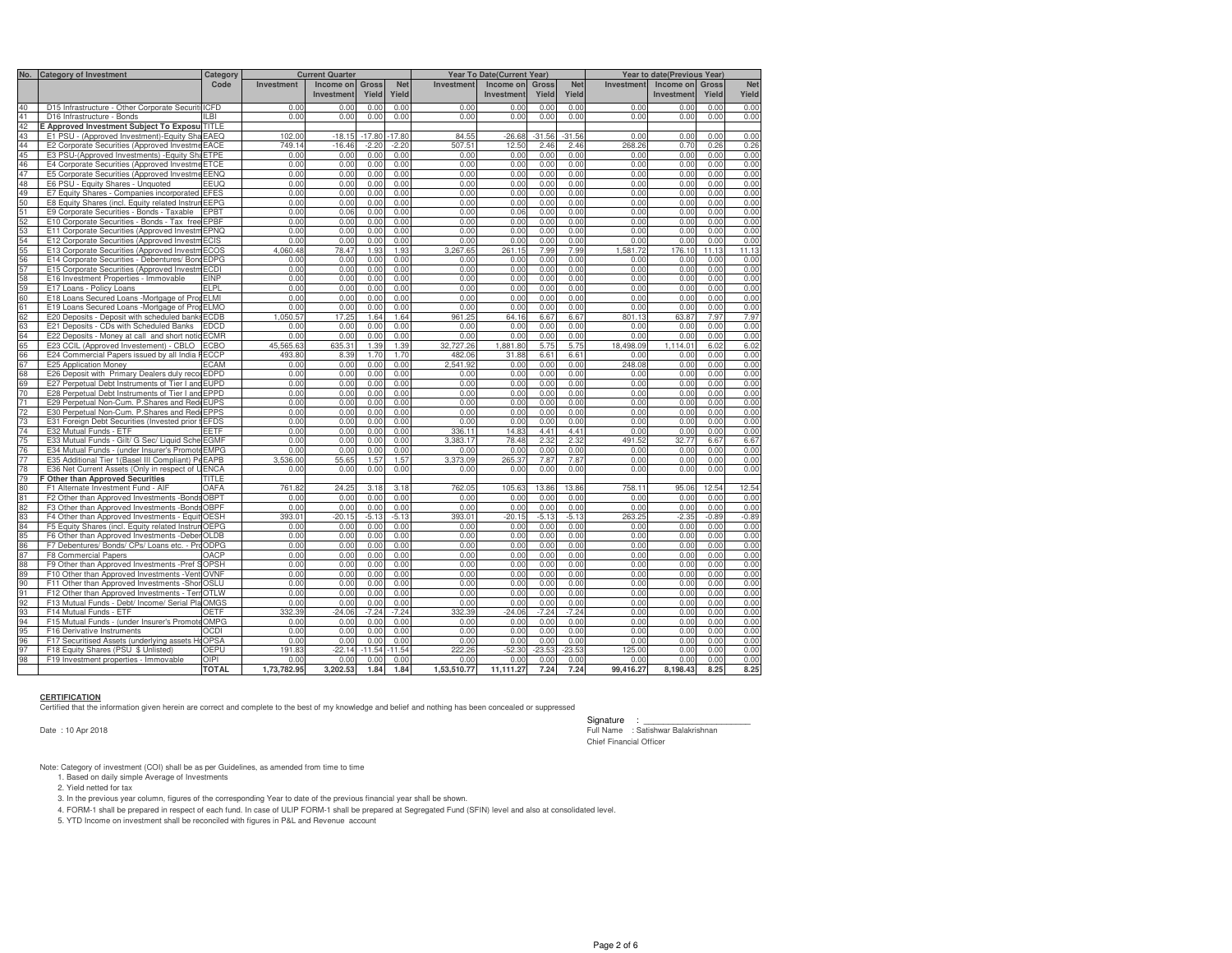| No.                                          | <b>Category of Investment</b>                                                            | Category                   | <b>Current Quarter</b> |                  |              | Year To Date(Current Year) |                   |              |              | Year to date(Previous Year) |                   |              |              |              |
|----------------------------------------------|------------------------------------------------------------------------------------------|----------------------------|------------------------|------------------|--------------|----------------------------|-------------------|--------------|--------------|-----------------------------|-------------------|--------------|--------------|--------------|
|                                              |                                                                                          | Code                       | <b>Investment</b>      | Income on        | <b>Gross</b> | <b>Net</b>                 | <b>Investment</b> | Income on    | <b>Gross</b> | <b>Net</b>                  | <b>Investment</b> | Income on    | <b>Gross</b> | <b>Net</b>   |
|                                              |                                                                                          |                            |                        | Investment       | Yield        | Yield                      |                   | Investment   | Yield        | Yield                       |                   | Investment   | Yield        | Yield        |
| 40                                           | D15 Infrastructure - Other Corporate Securiti                                            | <b>ICED</b>                | 0.00                   | 0.00             | 0.00         | 0.00                       | 0.00              | 0.00         | 0.00         | 0.00                        | 0.00              | 0.00         | 0.00         | 0.00         |
| 41                                           | D16 Infrastructure - Bonds                                                               | ILBI                       | 0.00                   | 0.00             | 0.00         | 0.00                       | 0.00              | 0.00         | 0.00         | 0.00                        | 0.00              | 0.00         | 0.00         | 0.00         |
| 42                                           | E Approved Investment Subject To Exposu TITLE                                            |                            |                        |                  |              |                            |                   |              |              |                             |                   |              |              |              |
| 43                                           | E1 PSU - (Approved Investment)-Equity Sha                                                | EAEQ                       | 102.00                 | $-18.15$         | $-17.80$     | $-17.80$                   | 84.55             | $-26.68$     | $-31.56$     | $-31.56$                    | 0.00              | 0.00         | 0.00         | 0.00         |
| 44                                           | E2 Corporate Securities (Approved Investme                                               | EACE                       | 749.14                 | $-16.46$         | $-2.20$      | $-2.20$                    | 507.51            | 12.50        | 2.46         | 2.46                        | 268.26            | 0.70         | 0.26         | 0.26         |
| 45                                           | E3 PSU-(Approved Investments) - Equity Sh                                                | ETPE                       | 0.00                   | 0.00             | 0.00         | 0.00                       | 0.00              | 0.00         | 0.00         | 0.00                        | 0.00              | 0.00         | 0.00         | 0.00         |
| 46                                           | E4 Corporate Securities (Approved Investm                                                | <b>ETCE</b>                | 0.00                   | 0.00             | 0.00         | 0.00                       | 0.00              | 0.00         | 0.00         | 0.00                        | 0.00              | 0.00         | 0.00         | 0.00         |
| 47                                           | E5 Corporate Securities (Approved Investme                                               | EENQ                       | 0.00                   | 0.00             | 0.00         | 0.00                       | 0.00              | 0.00         | 0.00         | 0.00                        | 0.00              | 0.00         | 0.00         | 0.00         |
| 48                                           | E6 PSU - Equity Shares - Unquoted                                                        | EEUQ                       | 0.00                   | 0.00             | 0.00         | 0.00                       | 0.00              | 0.00         | 0.00         | 0.00                        | 0.00              | 0.00         | 0.00         | 0.00         |
| 49                                           | E7 Equity Shares - Companies incorporated                                                | <b>EFES</b>                | 0.00                   | 0.00             | 0.00         | 0.00                       | 0.00              | 0.00         | 0.00         | 0.00                        | 0.00              | 0.00         | 0.00         | 0.00         |
|                                              | E8 Equity Shares (incl. Equity related Instrur                                           | <b>EEPG</b>                | 0.00                   | 0.00             | 0.00         | 0.00                       | 0.00              | 0.00         | 0.00         | 0.00                        | 0.00              | 0.00         | 0.00         | 0.00         |
|                                              | E9 Corporate Securities - Bonds - Taxable                                                | EPBT                       | 0.00                   | 0.06             | 0.00         | 0.00                       | 0.00              | 0.06         | 0.00         | 0.00                        | 0.00              | 0.00         | 0.00         | 0.00         |
|                                              | E10 Corporate Securities - Bonds - Tax free                                              | EPBF                       | 0.00                   | 0.00             | 0.00         | 0.00                       | 0.00              | 0.00         | 0.00         | 0.00                        | 0.00              | 0.00         | 0.00         | 0.00         |
|                                              | E11 Corporate Securities (Approved Investm                                               | EPNQ                       | 0.00                   | 0.00             | 0.00         | 0.00                       | 0.00              | 0.00         | 0.00         | 0.00                        | 0.00              | 0.00         | 0.00         | 0.00         |
| 50<br>51<br>52<br>53<br>53<br>55             | E12 Corporate Securities (Approved Investr                                               | ECIS                       | 0.00                   | 0.00             | 0.00         | 0.00                       | 0.00              | 0.00         | 0.00         | 0.00                        | 0.00              | 0.00         | 0.00         | 0.00         |
|                                              | E13 Corporate Securities (Approved Investr                                               | ECOS                       | 4.060.48               | 78.47            | 1.93         | 1.93                       | 3.267.65          | 261.15       | 7.99         | 7.99                        | 1.581.72          | 176.10       | 11.13        | 11.13        |
| 56                                           | E14 Corporate Securities - Debentures/ Bond                                              | <b>EDPG</b>                | 0.00                   | 0.00             | 0.00         | 0.00                       | 0.00              | 0.00         | 0.00         | 0.00                        | 0.00              | 0.00         | 0.00         | 0.00         |
| 57<br>58<br>59                               | E15 Corporate Securities (Approved Investn                                               | <b>ECDI</b>                | 0.00                   | 0.00             | 0.00         | 0.00                       | 0.00              | 0.00         | 0.00         | 0.00                        | 0.00              | 0.00         | 0.00         | 0.00         |
|                                              | E16 Investment Properties - Immovable                                                    | EINP<br>ELPL               | 0.00<br>0.00           | 0.00<br>0.00     | 0.00<br>0.00 | 0.00<br>0.00               | 0.00<br>0.00      | 0.00<br>0.00 | 0.00<br>0.00 | 0.00<br>0.00                | 0.00<br>0.00      | 0.00<br>0.00 | 0.00<br>0.00 | 0.00<br>0.00 |
|                                              | E17 Loans - Policy Loans                                                                 |                            |                        |                  |              |                            |                   |              |              |                             |                   |              |              |              |
| 60                                           | E18 Loans Secured Loans - Mortgage of Pro                                                | <b>ELMI</b><br><b>ELMO</b> | 0.00<br>0.00           | 0.00<br>0.00     | 0.00<br>0.00 | 0.00<br>0.00               | 0.00<br>0.00      | 0.00<br>0.00 | 0.00<br>0.00 | 0.00<br>0.00                | 0.00<br>0.00      | 0.00<br>0.00 | 0.00         | 0.00<br>0.00 |
| $rac{61}{62}$                                | E19 Loans Secured Loans - Mortgage of Pro<br>E20 Deposits - Deposit with scheduled banks | <b>ECDB</b>                | 1.050.57               | 17.25            | 1.64         | 1.64                       | 961.25            | 64.16        | 6.67         | 6.67                        | 801.13            | 63.87        | 0.00<br>7.97 | 7.97         |
|                                              | E21 Deposits - CDs with Scheduled Banks                                                  | <b>EDCD</b>                | 0.00                   | 0.00             | 0.00         | 0.00                       | 0.00              | 0.00         | 0.00         | 0.00                        | 0.00              | 0.00         | 0.00         | 0.00         |
| 63<br>64<br>65                               | E22 Deposits - Money at call and short notic                                             | <b>ECMR</b>                | 0.00                   | 0.00             | 0.00         | 0.00                       | 0.00              | 0.00         | 0.00         | 0.00                        | 0.00              | 0.00         | 0.00         | 0.00         |
|                                              | E23 CCIL (Approved Investement) - CBLO                                                   | <b>ECBO</b>                | 45.565.63              | 635.31           | 1.39         | 1.39                       | 32.727.26         | 1.881.80     | 5.75         | 5.75                        | 18,498.09         | 1.114.01     | 6.02         | 6.02         |
| 66                                           | E24 Commercial Papers issued by all India                                                | <b>ECCP</b>                | 493.80                 | 8.39             | 1.70         | 1.70                       | 482.06            | 31.88        | 6.61         | 6.61                        | 0.00              | 0.00         | 0.00         | 0.00         |
|                                              | E25 Application Money                                                                    | ECAM                       | 0.00                   | 0.00             | 0.00         | 0.00                       | 2.541.92          | 0.00         | 0.00         | 0.00                        | 248.08            | 0.00         | 0.00         | 0.00         |
| $67$ 68                                      | E26 Deposit with Primary Dealers duly reco                                               | <b>EDPD</b>                | 0.00                   | 0.00             | 0.00         | 0.00                       | 0.00              | 0.00         | 0.00         | 0.00                        | 0.00              | 0.00         | 0.00         | 0.00         |
| 69                                           | E27 Perpetual Debt Instruments of Tier I and                                             | <b>EUPD</b>                | 0.00                   | 0.00             | 0.00         | 0.00                       | 0.00              | 0.00         | 0.00         | 0.00                        | 0.00              | 0.00         | 0.00         | 0.00         |
| $\frac{1}{70}$                               | E28 Perpetual Debt Instruments of Tier I and                                             | <b>EPPD</b>                | 0.00                   | 0.00             | 0.00         | 0.00                       | 0.00              | 0.00         | 0.00         | 0.00                        | 0.00              | 0.00         | 0.00         | 0.00         |
| 71                                           | E29 Perpetual Non-Cum. P.Shares and Red                                                  | <b>EUPS</b>                | 0.00                   | 0.00             | 0.00         | 0.00                       | 0.00              | 0.00         | 0.00         | 0.00                        | 0.00              | 0.00         | 0.00         | 0.00         |
| 72                                           | E30 Perpetual Non-Cum. P. Shares and Red                                                 | <b>EPPS</b>                | 0.00                   | 0.00             | 0.00         | 0.00                       | 0.00              | 0.00         | 0.00         | 0.00                        | 0.00              | 0.00         | 0.00         | 0.00         |
| 73                                           | E31 Foreign Debt Securities (Invested prior                                              | <b>EFDS</b>                | 0.00                   | 0.00             | 0.00         | 0.00                       | 0.00              | 0.00         | 0.00         | 0.00                        | 0.00              | 0.00         | 0.00         | 0.00         |
| 74                                           | E32 Mutual Funds - ETF                                                                   | FFTF                       | 0.00                   | 0.00             | 0.00         | 0.00                       | 336.11            | 14.83        | 4.41         | 4.41                        | 0.00              | 0.00         | 0.00         | 0.00         |
| 75                                           | E33 Mutual Funds - Gilt/ G Sec/ Liquid Sche                                              | <b>EGMF</b>                | 0.00                   | 0.00             | 0.00         | 0.00                       | 3.383.17          | 78.48        | 2.32         | 2.32                        | 491.52            | 32.77        | 6.67         | 6.67         |
| 76                                           | E34 Mutual Funds - (under Insurer's Promot                                               | <b>EMPG</b>                | 0.00                   | 0.00             | 0.00         | 0.00                       | 0.00              | 0.00         | 0.00         | 0.00                        | 0.00              | 0.00         | 0.00         | 0.00         |
| 77                                           | E35 Additional Tier 1(Basel III Compliant) P                                             | EAPB                       | 3.536.00               | 55.65            | 1.57         | 1.57                       | 3,373.09          | 265.37       | 7.87         | 7.87                        | 0.00              | 0.00         | 0.00         | 0.00         |
| 78                                           | E36 Net Current Assets (Only in respect of U                                             | <b>ENCA</b>                | 0.00                   | 0.00             | 0.00         | 0.00                       | 0.00              | 0.00         | 0.00         | 0.00                        | 0.00              | 0.00         | 0.00         | 0.00         |
| 79                                           | F Other than Approved Securities                                                         | TITLE                      |                        |                  |              |                            |                   |              |              |                             |                   |              |              |              |
|                                              | F1 Alternate Investment Fund - AIF                                                       | OAFA                       | 761.82                 | 24.25            | 3.18         | 3.18                       | 762.05            | 105.63       | 13.86        | 13.86                       | 758.11            | 95.06        | 12.54        | 12.54        |
|                                              | F2 Other than Approved Investments -Bonds                                                | <b>OBPT</b>                | 0.00                   | 0.00             | 0.00         | 0.00                       | 0.00              | 0.00         | 0.00         | 0.00                        | 0.00              | 0.00         | 0.00         | 0.00         |
| 80<br>81<br>82<br>83<br>85<br>85<br>86<br>87 | F3 Other than Approved Investments - Bonds                                               | OBPF                       | 0.00                   | 0.00             | 0.00         | 0.00                       | 0.00              | 0.00         | 0.00         | 0.00                        | 0.00              | 0.00         | 0.00         | 0.00         |
|                                              | F4 Other than Approved Investments - Equi                                                | OESH                       | 393.01                 | $-20.15$         | $-5.13$      | $-5.13$                    | 393.01            | $-20.15$     | $-5.13$      | $-5.13$                     | 263.25            | $-2.35$      | $-0.89$      | $-0.89$      |
|                                              | F5 Equity Shares (incl. Equity related Instrur                                           | OEPG                       | 0.00                   | 0.00             | 0.00         | 0.00                       | 0.00              | 0.00         | 0.00         | 0.00                        | 0.00              | 0.00         | 0.00         | 0.00         |
|                                              | F6 Other than Approved Investments - Deber                                               | OLDB                       | 0.00                   | 0.00             | 0.00         | 0.00                       | 0.00              | 0.00         | 0.00         | 0.00                        | 0.00              | 0.00         | 0.00         | 0.00         |
|                                              | F7 Debentures/ Bonds/ CPs/ Loans etc. - Pr                                               | ODPG                       | 0.00                   | 0.00             | 0.00         | 0.00                       | 0.00              | 0.00         | 0.00         | 0.00                        | 0.00              | 0.00         | 0.00         | 0.00         |
|                                              | F8 Commercial Papers                                                                     | <b>DACP</b>                | 0.00                   | 0.00             | 0.00         | 0.00                       | 0.00              | 0.00         | 0.00         | 0.00                        | 0.00              | 0.00         | 0.00         | 0.00         |
| 88                                           | F9 Other than Approved Investments - Pref S                                              | OPSH                       | 0.00                   | 0.00             | 0.00         | 0.00                       | 0.00              | 0.00         | 0.00         | 0.00                        | 0.00              | 0.00         | 0.00         | 0.00         |
| 89                                           | F10 Other than Approved Investments - Ven                                                | OVNF                       | 0.00                   | 0.00             | 0.00         | 0.00                       | 0.00              | 0.00         | 0.00         | 0.00                        | 0.00              | 0.00         | 0.00         | 0.00         |
| 90<br>91                                     | F11 Other than Approved Investments - Sho                                                | OSLU                       | 0.00                   | 0.00             | 0.00         | 0.00                       | 0.00              | 0.00         | 0.00         | 0.00                        | 0.00              | 0.00         | 0.00         | 0.00         |
|                                              | F12 Other than Approved Investments - Ter                                                | <b>OTLW</b>                | 0.00                   | 0.00             | 0.00         | 0.00                       | 0.00              | 0.00         | 0.00         | 0.00                        | 0.00              | 0.00         | 0.00         | 0.00         |
| : ଟ<br>  ଟା ଫ                                | F13 Mutual Funds - Debt/ Income/ Serial Pla                                              | OMGS                       | 0.00                   | 0.00             | 0.00         | 0.00                       | 0.00              | 0.00         | 0.00         | 0.00                        | 0.00              | 0.00         | 0.00         | 0.00         |
|                                              | F14 Mutual Funds - ETF                                                                   | OETF                       | 332.39                 | $-24.06$         | $-7.24$      | $-7.24$                    | 332.39            | $-24.06$     | $-7.24$      | $-7.24$                     | 0.00              | 0.00         | 0.00         | 0.00         |
|                                              | F15 Mutual Funds - (under Insurer's Promote                                              | OMPG                       | 0.00                   | 0.00             | 0.00         | 0.00                       | 0.00              | 0.00         | 0.00         | 0.00                        | 0.00              | 0.00         | 0.00         | 0.00         |
| 95                                           | F16 Derivative Instruments                                                               | OCDI                       | 0.00                   | 0.00             | 0.00         | 0.00                       | 0.00              | 0.00         | 0.00         | 0.00                        | 0.00              | 0.00         | 0.00         | 0.00         |
|                                              | F17 Securitised Assets (underlying assets H                                              | <b>OPSA</b><br>OEPU        | 0.00                   | 0.00<br>$-22.14$ | 0.00         | 0.00                       | 0.00<br>222.26    | 0.00         | 0.00         | 0.00<br>$-23.53$            | 0.00<br>125.00    | 0.00         | 0.00         | 0.00<br>0.00 |
| <u>၂၀၂၀</u>                                  | F18 Equity Shares (PSU \$ Unlisted)                                                      |                            | 191.83                 |                  | $-11.54$     | 11.54                      |                   | $-52.30$     | $-23.53$     |                             |                   | 0.00         | 0.00         |              |
|                                              | F19 Investment properties - Immovable                                                    | IPIC                       | 0.00                   | 0.00             | 0.00         | 0.00                       | 0.00              | 0.00         | 0.00         | 0.00                        | 0.00              | 0.00         | 0.00         | 0.00         |
|                                              |                                                                                          | <b>TOTAL</b>               | 1.73.782.95            | 3.202.53         | 1.84         | 1.84                       | 1,53,510.77       | 11.111.27    | 7.24         | 7.24                        | 99.416.27         | 8.198.43     | 8.25         | 8.25         |

### **CERTIFICATION**

Certified that the information given herein are correct and complete to the best of my knowledge and belief and nothing has been concealed or suppressed

Date : 10 Apr 2018

Signature : \_\_\_\_\_\_\_\_\_\_\_\_\_\_\_\_\_\_\_\_\_\_ Full Name : Satishwar Balakrishnan Chief Financial Officer

Note: Category of investment (COI) shall be as per Guidelines, as amended from time to time 1. Based on daily simple Average of Investments

2. Yield netted for tax

3. In the previous year column, figures of the corresponding Year to date of the previous financial year shall be shown.

4. FORM-1 shall be prepared in respect of each fund. In case of ULIP FORM-1 shall be prepared at Segregated Fund (SFIN) level and also at consolidated level.

5. YTD Income on investment shall be reconciled with figures in P&L and Revenue account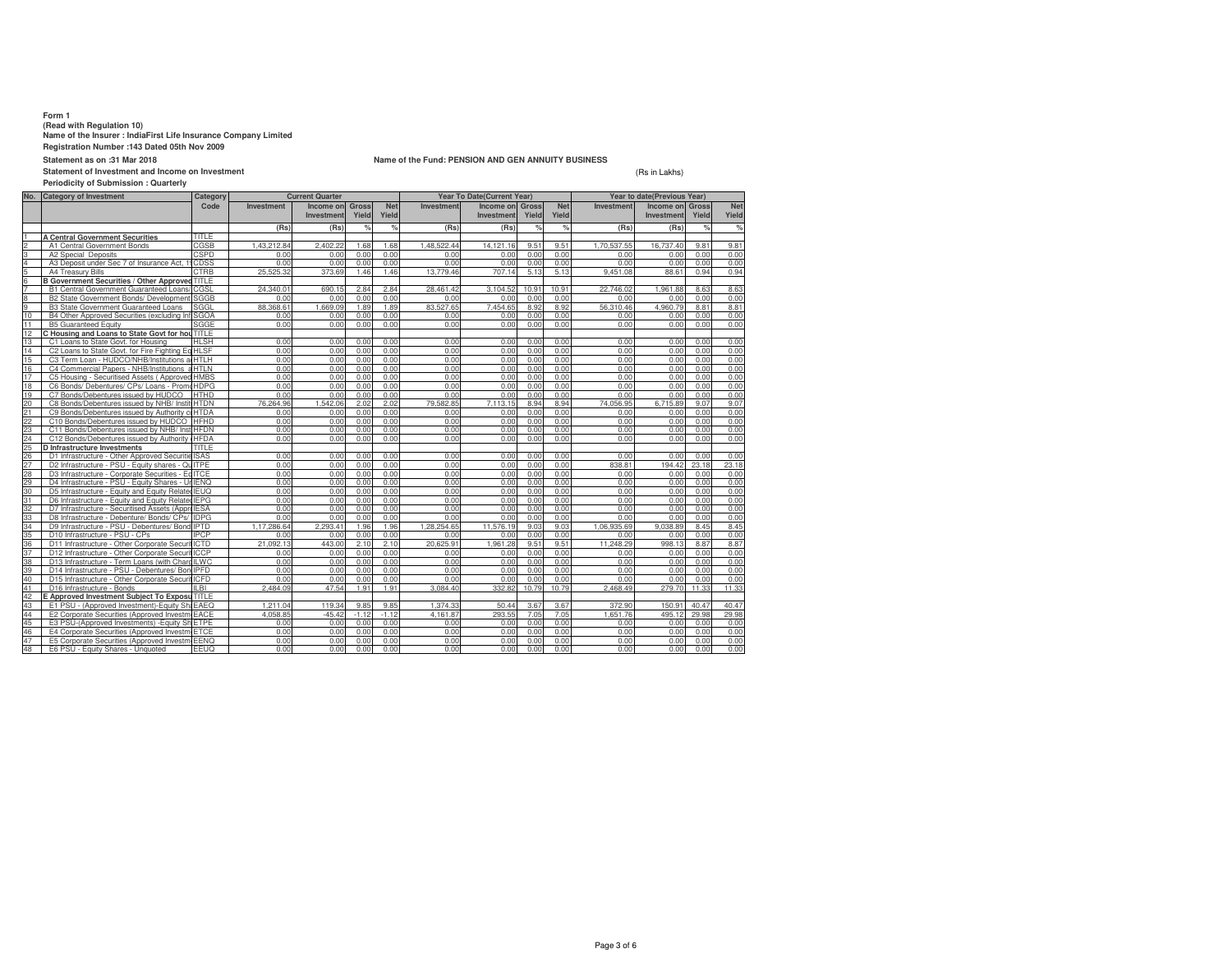**Form 1 (Read with Regulation 10) Name of the Insurer : IndiaFirst Life Insurance Company Limited**

**Registration Number :143 Dated 05th Nov 2009**

**Statement as on :31 Mar 2018**

**Statement of Investment and Income on Investment**

### **Periodicity of Submission : Quarterly**

**Name of the Fund: PENSION AND GEN ANNUITY BUSINESS**

(Rs in Lakhs)

|                                                                                           | No. Category of Investment                         | <b>Current Quarter</b><br>Category |                   | <b>Year To Date(Current Year)</b> |                |                     |             | Year to date(Previous Year) |                       |                     |             |                                      |               |                     |
|-------------------------------------------------------------------------------------------|----------------------------------------------------|------------------------------------|-------------------|-----------------------------------|----------------|---------------------|-------------|-----------------------------|-----------------------|---------------------|-------------|--------------------------------------|---------------|---------------------|
|                                                                                           |                                                    | Code                               | <b>Investment</b> | Income on<br>Investment           | Gross<br>Yield | <b>Net</b><br>Yield | Investment  | Income on<br>Investment     | <b>Gross</b><br>Yield | <b>Net</b><br>Yield | Investment  | <b>Income on Gross</b><br>Investment | Yield         | <b>Net</b><br>Yield |
|                                                                                           |                                                    |                                    | (Rs)              | (Rs)                              | $\%$           | %                   | (Rs)        | (Rs)                        | %                     | %                   | (Rs)        | (Rs)                                 | %             | %                   |
|                                                                                           | <b>A Central Government Securities</b>             | <b>TITLE</b>                       |                   |                                   |                |                     |             |                             |                       |                     |             |                                      |               |                     |
|                                                                                           | A1 Central Government Bonds                        | CGSB                               | 1.43.212.84       | 2.402.22                          | 1.68           | 1.68                | 1.48.522.44 | 14.121.16                   | 9.51                  | 9.51                | 1.70.537.55 | 16,737.40                            | $9.8^{\circ}$ | 9.81                |
|                                                                                           | A2 Special Deposits                                | CSPD                               | 0.00              | 0.00                              | 0.00           | 0.00                | 0.00        | 0.00                        | 0.00                  | 0.00                | 0.00        | 0.00                                 | 0.00          | 0.00                |
|                                                                                           | A3 Deposit under Sec 7 of Insurance Act, 1         | CDSS                               | 0.00              | 0.00                              | 0.00           | 0.00                | 0.00        | 0.00                        | 0.00                  | 0.00                | 0.00        | 0.00                                 | 0.00          | 0.00                |
|                                                                                           | A4 Treasury Bills                                  | CTRB                               | 25.525.32         | 373.69                            | 1.46           | 1.46                | 13,779.46   | 707.14                      | 5.13                  | 5.13                | 9.451.08    | 88.61                                | 0.94          | 0.94                |
|                                                                                           | B Government Securities / Other Approved TITLE     |                                    |                   |                                   |                |                     |             |                             |                       |                     |             |                                      |               |                     |
|                                                                                           | B1 Central Government Guaranteed Loans             | CGSL                               | 24.340.01         | 690.15                            | 2.84           | 2.84                | 28.461.42   | 3.104.52                    | 10.91                 | 10.91               | 22.746.02   | 1.961.88                             | 8.63          | 8.63                |
|                                                                                           | B2 State Government Bonds/ Development             | <b>SGGB</b>                        | 0.00              | 0.00                              | 0.00           | 0.00                | 0.00        | 0.00                        | 0.00                  | 0.00                | 0.00        | 0.00                                 | 0.00          | 0.00                |
| $\frac{1}{10}$ $\frac{1}{10}$ $\frac{1}{10}$ $\frac{1}{10}$ $\frac{1}{10}$ $\frac{1}{10}$ | <b>B3 State Government Guaranteed Loans</b>        | SGGL                               | 88.368.61         | 1,669.09                          | 1.89           | 1.89                | 83,527.65   | 7,454.65                    | 8.92                  | 8.92                | 56.310.46   | 4.960.79                             | $8.8^{\circ}$ | 8.81                |
|                                                                                           | B4 Other Approved Securities (excluding Inf        | <b>SGOA</b>                        | 0.00              | 0.00                              | 0.00           | 0.00                | 0.00        | 0.00                        | 0.00                  | 0.00                | 0.00        | 0.00                                 | 0.00          | 0.00                |
| 11                                                                                        | <b>B5 Guaranteed Equity</b>                        | SGGE                               | 0.00              | 0.00                              | 0.00           | 0.00                | 0.00        | 0.00                        | 0.00                  | 0.00                | 0.00        | 0.00                                 | 0.00          | 0.00                |
| $\overline{12}$                                                                           | C Housing and Loans to State Govt for hou TITLE    |                                    |                   |                                   |                |                     |             |                             |                       |                     |             |                                      |               |                     |
| $\overline{13}$                                                                           | C1 Loans to State Govt. for Housing                | <b>HLSH</b>                        | 0.00              | 0.00                              | 0.00           | 0.00                | 0.00        | 0.00                        | 0.00                  | 0.00                | 0.00        | 0.00                                 | 0.00          | 0.00                |
| 14                                                                                        | C2 Loans to State Govt, for Fire Fighting Eq HLSF  |                                    | 0.00              | 0.00                              | 0.00           | 0.00                | 0.00        | 0.00                        | 0.00                  | 0.00                | 0.00        | 0.00                                 | 0.00          | 0.00                |
| 15                                                                                        | C3 Term Loan - HUDCO/NHB/Institutions a HTLH       |                                    | 0.00              | 0.00                              | 0.00           | 0.00                | 0.00        | 0.00                        | 0.00                  | 0.00                | 0.00        | 0.00                                 | 0.00          | 0.00                |
| 16                                                                                        | C4 Commercial Papers - NHB/Institutions a HTLN     |                                    | 0.00              | 0.00                              | 0.00           | 0.00                | 0.00        | 0.00                        | 0.00                  | 0.00                | 0.00        | 0.00                                 | 0.00          | 0.00                |
|                                                                                           | C5 Housing - Securitised Assets (Approved HMBS     |                                    | 0.00              | 0.00                              | 0.00           | 0.00                | 0.00        | 0.00                        | 0.00                  | 0.00                | 0.00        | 0.00                                 | 0.00          | 0.00                |
|                                                                                           | C6 Bonds/ Debentures/ CPs/ Loans - PromeHDPG       |                                    | 0.00              | 0.00                              | 0.00           | 0.00                | 0.00        | 0.00                        | 0.00                  | 0.00                | 0.00        | 0.00                                 | 0.00          | 0.00                |
|                                                                                           | C7 Bonds/Debentures issued by HUDCO                | <b>HTHD</b>                        | 0.00              | 0.00                              | 0.00           | 0.00                | 0.00        | 0.00                        | 0.00                  | 0.00                | 0.00        | 0.00                                 | 0.00          | 0.00                |
|                                                                                           | C8 Bonds/Debentures issued by NHB/ Insti           | <b>HTDN</b>                        | 76.264.96         | 1.542.06                          | 2.02           | 2.02                | 79.582.85   | 7.113.15                    | 8.94                  | 8.94                | 74,056.95   | 6.715.89                             | 9.07          | 9.07                |
|                                                                                           | C9 Bonds/Debentures issued by Authority co         | <b>HTDA</b>                        | 0.00              | 0.00                              | 0.00           | 0.00                | 0.00        | 0.00                        | 0.00                  | 0.00                | 0.00        | 0.00                                 | 0.00          | 0.00                |
|                                                                                           | C10 Bonds/Debentures issued by HUDCO               | <b>HFHD</b>                        | 0.00              | 0.00                              | 0.00           | 0.00                | 0.00        | 0.00                        | 0.00                  | 0.00                | 0.00        | 0.00                                 | 0.00          | 0.00                |
|                                                                                           | C11 Bonds/Debentures issued by NHB/ Inst           | <b>HFDN</b>                        | 0.00              | 0.00                              | 0.00           | 0.00                | 0.00        | 0.00                        | 0.00                  | 0.00                | 0.00        | 0.00                                 | 0.00          | 0.00                |
|                                                                                           | C12 Bonds/Debentures issued by Authority HFDA      |                                    | 0.00              | 0.00                              | 0.00           | 0.00                | 0.00        | 0.00                        | 0.00                  | 0.00                | 0.00        | 0.00                                 | 0.00          | 0.00                |
|                                                                                           | D Infrastructure Investments                       | TITLE                              |                   |                                   |                |                     |             |                             |                       |                     |             |                                      |               |                     |
|                                                                                           | D1 Infrastructure - Other Approved Securitie ISAS  |                                    | 0.00              | 0.00                              | 0.00           | 0.00                | 0.00        | 0.00                        | 0.00                  | 0.00                | 0.00        | 0.00                                 | 0.00          | 0.00                |
|                                                                                           | D2 Infrastructure - PSU - Equity shares - QuITPE   |                                    | 0.00              | 0.00                              | 0.00           | 0.00                | 0.00        | 0.00                        | 0.00                  | 0.00                | 838.81      | 194.42                               | 23.18         | 23.18               |
|                                                                                           | D3 Infrastructure - Corporate Securities - Eq ITCE |                                    | 0.00              | 0.00                              | 0.00           | 0.00                | 0.00        | 0.00                        | 0.00                  | 0.00                | 0.00        | 0.00                                 | 0.00          | 0.00                |
|                                                                                           | D4 Infrastructure - PSU - Equity Shares - UrIENQ   |                                    | 0.00              | 0.00                              | 0.00           | 0.00                | 0.00        | 0.00                        | 0.00                  | 0.00                | 0.00        | 0.00                                 | 0.00          | 0.00                |
|                                                                                           | D5 Infrastructure - Equity and Equity Related IEUQ |                                    | 0.00              | 0.00                              | 0.00           | 0.00                | 0.00        | 0.00                        | 0.00                  | 0.00                | 0.00        | 0.00                                 | 0.00          | 0.00                |
|                                                                                           | D6 Infrastructure - Equity and Equity Related IEPG |                                    | 0.00              | 0.00                              | 0.00           | 0.00                | 0.00        | 0.00                        | 0.00                  | 0.00                | 0.00        | 0.00                                 | 0.00          | 0.00                |
|                                                                                           | D7 Infrastructure - Securitised Assets (Appro IESA |                                    | 0.00              | 0.00                              | 0.00           | 0.00                | 0.00        | 0.00                        | 0.00                  | 0.00                | 0.00        | 0.00                                 | 0.00          | 0.00                |
|                                                                                           | D8 Infrastructure - Debenture/ Bonds/ CPs/         | <b>IDPG</b>                        | 0.00              | 0.00                              | 0.00           | 0.00                | 0.00        | 0.00                        | 0.00                  | 0.00                | 0.00        | 0.00                                 | 0.00          | 0.00                |
|                                                                                           | D9 Infrastructure - PSU - Debentures/ Bond IPTD    |                                    | 1.17.286.64       | 2.293.41                          | 1.96           | 1.96                | 1.28.254.65 | 11.576.19                   | 9.03                  | 9.03                | 1.06.935.69 | 9.038.89                             | 8.45          | 8.45                |
|                                                                                           | D10 Infrastructure - PSU - CPs                     | <b>IPCP</b>                        | 0.00              | 0.00                              | 0.00           | 0.00                | 0.00        | 0.00                        | 0.00                  | 0.00                | 0.00        | 0.00                                 | 0.00          | 0.00                |
|                                                                                           | D11 Infrastructure - Other Corporate Securit ICTD  |                                    | 21.092.13         | 443.00                            | 2.10           | 2.10                | 20.625.91   | 1.961.28                    | 9.51                  | 9.51                | 11.248.29   | 998.13                               | 8.87          | 8.87                |
|                                                                                           | D12 Infrastructure - Other Corporate SecuritICCP   |                                    | 0.00              | 0.00                              | 0.00           | 0.00                | 0.00        | 0.00                        | 0.00                  | 0.00                | 0.00        | 0.00                                 | 0.00          | 0.00                |
|                                                                                           | D13 Infrastructure - Term Loans (with Chard ILWC   |                                    | 0.00              | 0.00                              | 0.00           | 0.00                | 0.00        | 0.00                        | 0.00                  | 0.00                | 0.00        | 0.00                                 | 0.00          | 0.00                |
|                                                                                           | D14 Infrastructure - PSU - Debentures/ Bor         | <b>IPFD</b>                        | 0.00              | 0.00                              | 0.00           | 0.00                | 0.00        | 0.00                        | 0.00                  | 0.00                | 0.00        | 0.00                                 | 0.00          | 0.00                |
|                                                                                           | D15 Infrastructure - Other Corporate Securit ICFD  |                                    | 0.00              | 0.00                              | 0.00           | 0.00                | 0.00        | 0.00                        | 0.00                  | 0.00                | 0.00        | 0.00                                 | 0.00          | 0.00                |
|                                                                                           | D16 Infrastructure - Bonds                         | IL BI                              | 2.484.09          | 47.54                             | 1.91           | 1.91                | 3.084.40    | 332.82                      | 10.79                 | 10.79               | 2,468.49    | 279.70                               | 11.33         | 11.33               |
|                                                                                           | E Approved Investment Subiect To Exposu TITLE      |                                    |                   |                                   |                |                     |             |                             |                       |                     |             |                                      |               |                     |
|                                                                                           | E1 PSU - (Approved Investment)-Equity ShaEAEQ      |                                    | 1.211.04          | 119.34                            | 9.85           | 9.85                | 1.374.33    | 50.44                       | 3.67                  | 3.67                | 372.90      | 150.91                               | 40.47         | 40.47               |
|                                                                                           | E2 Corporate Securities (Approved Investmi EACE    |                                    | 4.058.85          | $-45.42$                          | $-1.12$        | $-1.12$             | 4.161.87    | 293.55                      | 7.05                  | 7.05                | 1.651.76    | 495.12                               | 29.98         | 29.98               |
|                                                                                           | E3 PSU-(Approved Investments) - Equity SI          | <b>FTPF</b>                        | 0.00              | 0.00                              | 0.00           | 0.00                | 0.00        | 0.00                        | 0.00                  | 0.00                | 0.00        | 0.00                                 | 0.00          | 0.00                |
|                                                                                           | E4 Corporate Securities (Approved Investm ETCE     |                                    | 0.00              | 0.00                              | 0.00           | 0.00                | 0.00        | 0.00                        | 0.00                  | 0.00                | 0.00        | 0.00                                 | 0.00          | 0.00                |
| $\frac{46}{47}$                                                                           | E5 Corporate Securities (Approved Investm EENQ     |                                    | 0.00              | 0.00                              | 0.00           | 0.00                | 0.00        | 0.00                        | 0.00                  | 0.00                | 0.00        | 0.00                                 | 0.00          | 0.00                |
|                                                                                           | E6 PSU - Equity Shares - Unquoted                  | FFUO                               | 0.00              | 0.00                              | 0.00           | 0.00                | 0.00        | 0.00                        | 0.00                  | 0.00                | 0.00        | 0.00                                 | 0.00          | 0.00                |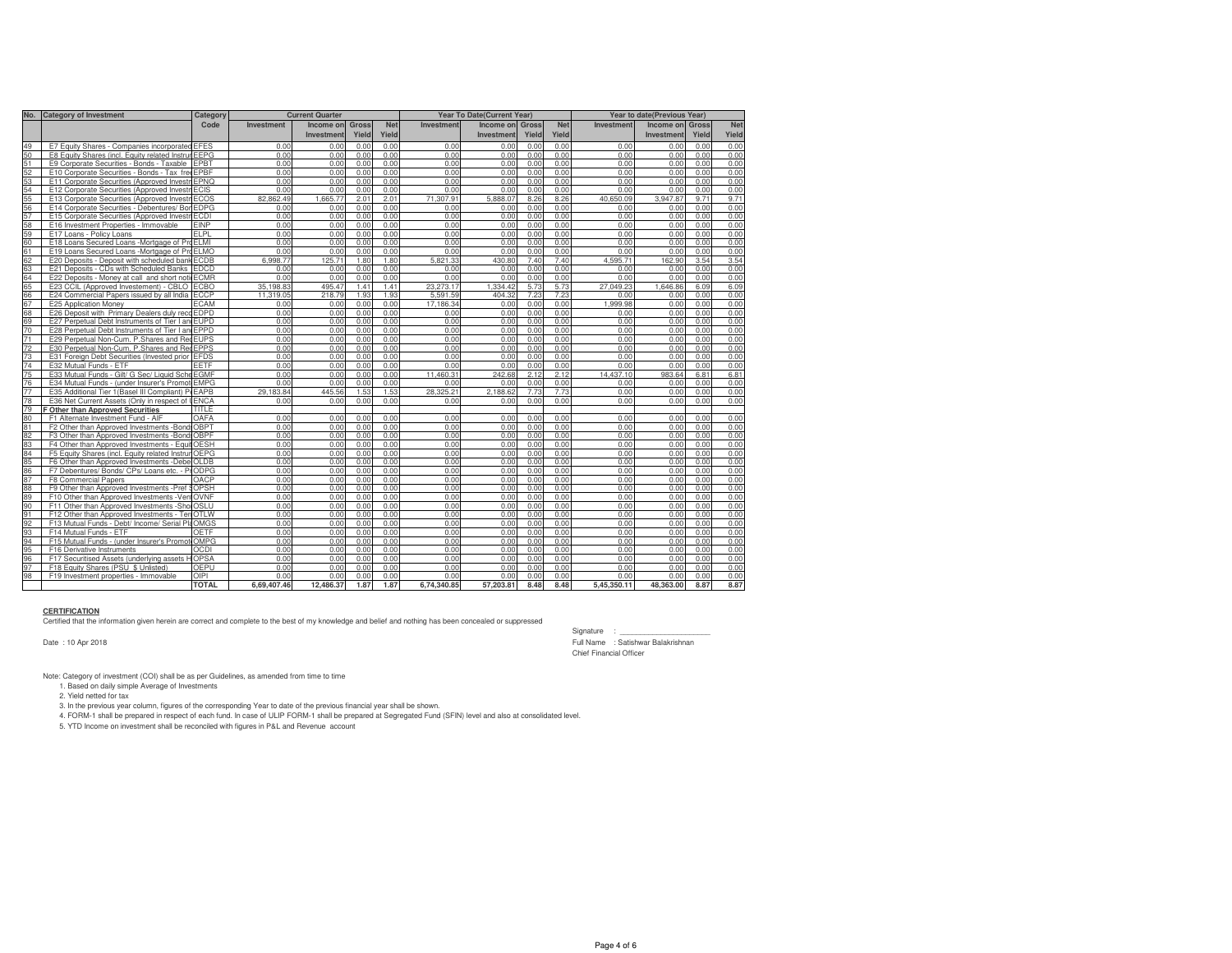|    | No. Category of Investment                          | Category         |                   | <b>Current Quarter</b> |       |            | Year To Date(Current Year) |            |              |            | Year to date(Previous Year) |            |       |            |
|----|-----------------------------------------------------|------------------|-------------------|------------------------|-------|------------|----------------------------|------------|--------------|------------|-----------------------------|------------|-------|------------|
|    |                                                     | Code             | <b>Investment</b> | Income or              | Gross | <b>Net</b> | Investment                 | Income on  | <b>Gross</b> | <b>Net</b> | Investment                  | Income on  | Gross | <b>Net</b> |
|    |                                                     |                  |                   | Investment             | Yield | Yield      |                            | Investment | Yield        | Yield      |                             | Investment | Yield | Yield      |
| 49 | E7 Equity Shares - Companies incorporated           | <b>EFES</b>      | 0.00              | 0.00                   | 0.00  | 0.00       | 0.00                       | 0.00       | 0.00         | 0.00       | 0.00                        | 0.00       | 0.00  | 0.00       |
| 50 | E8 Equity Shares (incl. Equity related Instrur      | <b>EEPG</b>      | 0.00              | 0.00                   | 0.00  | 0.00       | 0.00                       | 0.00       | 0.00         | 0.00       | 0.00                        | 0.00       | 0.00  | 0.00       |
| 51 | E9 Corporate Securities - Bonds - Taxable           | <b>EPBT</b>      | 0.00              | 0.00                   | 0.00  | 0.00       | 0.00                       | 0.00       | 0.00         | 0.00       | 0.00                        | 0.00       | 0.00  | 0.00       |
| 52 | E10 Corporate Securities - Bonds - Tax free EPBF    |                  | 0.00              | 0.00                   | 0.00  | 0.00       | 0.00                       | 0.00       | 0.00         | 0.00       | 0.00                        | 0.00       | 0.00  | 0.00       |
| 53 | E11 Corporate Securities (Approved Investri         | <b>EPNO</b>      | 0.00              | 0.00                   | 0.00  | 0.00       | 0.00                       | 0.00       | 0.00         | 0.00       | 0.00                        | 0.00       | 0.00  | 0.00       |
| 54 | E12 Corporate Securities (Approved Investn          | <b>ECIS</b>      | 0.00              | 0.00                   | 0.00  | 0.00       | 0.00                       | 0.00       | 0.00         | 0.00       | 0.00                        | 0.00       | 0.00  | 0.00       |
| 55 | E13 Corporate Securities (Approved InvestriECOS     |                  | 82.862.49         | 1,665.77               | 2.01  | 2.01       | 71,307.91                  | 5,888.07   | 8.26         | 8.26       | 40.650.09                   | 3.947.87   | 9.71  | 9.71       |
| 56 | E14 Corporate Securities - Debentures/ Bor          | <b>FDPG</b>      | 0.00              | 0.00                   | 0.00  | 0.00       | 0.00                       | 0.00       | 0.00         | 0.00       | 0.00                        | 0.00       | 0.00  | 0.00       |
| 57 | E15 Corporate Securities (Approved InvestriECDI     |                  | 0.00              | 0.00                   | 0.00  | 0.00       | 0.00                       | 0.00       | 0.00         | 0.00       | 0.00                        | 0.00       | 0.00  | 0.00       |
| 58 | E16 Investment Properties - Immovable               | <b>EINP</b>      | 0.00              | 0.00                   | 0.00  | 0.00       | 0.00                       | 0.00       | 0.00         | 0.00       | 0.00                        | 0.00       | 0.00  | 0.00       |
| 59 | E17 Loans - Policy Loans                            | FI <sub>PI</sub> | 0.00              | 0.00                   | 0.00  | 0.00       | 0.00                       | 0.00       | 0.00         | 0.00       | 0.00                        | 0.00       | 0.00  | 0.00       |
| 60 | E18 Loans Secured Loans -Mortgage of ProELMI        |                  | 0.00              | 0.00                   | 0.00  | 0.00       | 0.00                       | 0.00       | 0.00         | 0.00       | 0.00                        | 0.00       | 0.00  | 0.00       |
| 61 | E19 Loans Secured Loans -Mortgage of ProELMO        |                  | 0.00              | 0.00                   | 0.00  | 0.00       | 0.00                       | 0.00       | 0.00         | 0.00       | 0.00                        | 0.00       | 0.00  | 0.00       |
| 62 | E20 Deposits - Deposit with scheduled bank ECDB     |                  | 6.998.77          | 125.71                 | 1.80  | 1.80       | 5.821.33                   | 430.80     | 7.40         | 7.40       | 4.595.71                    | 162.90     | 3.54  | 3.54       |
| 63 | E21 Deposits - CDs with Scheduled Banks             | <b>FDCD</b>      | 0.00              | 0.00                   | 0.00  | 0.00       | 0.00                       | 0.00       | 0.00         | 0.00       | 0.00                        | 0.00       | 0.00  | 0.00       |
| 64 | E22 Deposits - Money at call and short noticECMR    |                  | 0.00              | 0.00                   | 0.00  | 0.00       | 0.00                       | 0.00       | 0.00         | 0.00       | 0.00                        | 0.00       | 0.00  | 0.00       |
| 65 | E23 CCIL (Approved Investement) - CBLO              | <b>ECBO</b>      | 35.198.83         | 495.47                 | 1.41  | 1.41       | 23.273.17                  | 1.334.42   | 5.73         | 5.73       | 27.049.23                   | .646.86    | 6.09  | 6.09       |
| 66 | E24 Commercial Papers issued by all India           | <b>ECCP</b>      | 11.319.05         | 218.79                 | 1.93  | 1.93       | 5,591.59                   | 404.32     | 7.23         | 7.23       | 0.00                        | 0.00       | 0.00  | 0.00       |
| 67 | E25 Application Money                               | <b>ECAM</b>      | 0.00              | 0.00                   | 0.00  | 0.00       | 17.186.34                  | 0.00       | 0.00         | 0.00       | 1.999.98                    | 0.00       | 0.00  | 0.00       |
| 68 | E26 Deposit with Primary Dealers duly reco EDPD     |                  | 0.00              | 0.00                   | 0.00  | 0.00       | 0.00                       | 0.00       | 0.00         | 0.00       | 0.00                        | 0.00       | 0.00  | 0.00       |
| 69 | E27 Perpetual Debt Instruments of Tier I an EUPD    |                  | 0.00              | 0.00                   | 0.00  | 0.00       | 0.00                       | 0.00       | 0.00         | 0.00       | 0.00                        | 0.00       | 0.00  | 0.00       |
| 70 | E28 Perpetual Debt Instruments of Tier I an EPPD    |                  | 0.00              | 0.00                   | 0.00  | 0.00       | 0.00                       | 0.00       | 0.00         | 0.00       | 0.00                        | 0.00       | 0.00  | 0.00       |
| 71 | E29 Perpetual Non-Cum. P.Shares and RedEUPS         |                  | 0.00              | 0.00                   | 0.00  | 0.00       | 0.00                       | 0.00       | 0.00         | 0.00       | 0.00                        | 0.00       | 0.00  | 0.00       |
| 72 | E30 Perpetual Non-Cum. P.Shares and Red             | <b>EPPS</b>      | 0.00              | 0.00                   | 0.00  | 0.00       | 0.00                       | 0.00       | 0.00         | 0.00       | 0.00                        | 0.00       | 0.00  | 0.00       |
| 73 | E31 Foreign Debt Securities (Invested prior         | <b>EFDS</b>      | 0.00              | 0.00                   | 0.00  | 0.00       | 0.00                       | 0.00       | 0.00         | 0.00       | 0.00                        | 0.00       | 0.00  | 0.00       |
| 74 | E32 Mutual Funds - ETF                              | EETF             | 0.00              | 0.00                   | 0.00  | 0.00       | 0.00                       | 0.00       | 0.00         | 0.00       | 0.00                        | 0.00       | 0.00  | 0.00       |
| 75 | E33 Mutual Funds - Gilt/ G Sec/ Liquid Sche         | <b>EGMF</b>      | 0.00              | 0.00                   | 0.00  | 0.00       | 11.460.31                  | 242.68     | 2.12         | 2.12       | 14.437.10                   | 983.64     | 6.81  | 6.81       |
| 76 | E34 Mutual Funds - (under Insurer's Promot          | <b>EMPG</b>      | 0.00              | 0.00                   | 0.00  | 0.00       | 0.00                       | 0.00       | 0.00         | 0.00       | 0.00                        | 0.00       | 0.00  | 0.00       |
| 77 | E35 Additional Tier 1 (Basel III Compliant) P. EAPB |                  | 29.183.84         | 445.56                 | 1.53  | 1.53       | 28.325.21                  | 2.188.62   | 7.73         | 7.73       | 0.00                        | 0.00       | 0.00  | 0.00       |
| 78 | E36 Net Current Assets (Only in respect of LENCA    |                  | 0.00              | 0.00                   | 0.00  | 0.00       | 0.00                       | 0.00       | 0.00         | 0.00       | 0.00                        | 0.00       | 0.00  | 0.00       |
| 79 | F Other than Approved Securities                    | TITLE.           |                   |                        |       |            |                            |            |              |            |                             |            |       |            |
| 80 | F1 Alternate Investment Fund - AIF                  | OAFA             | 0.00              | 0.00                   | 0.00  | 0.00       | 0.00                       | 0.00       | 0.00         | 0.00       | 0.00                        | 0.00       | 0.00  | 0.00       |
| 81 | F2 Other than Approved Investments -Bond: OBPT      |                  | 0.00              | 0.00                   | 0.00  | 0.00       | 0.00                       | 0.00       | 0.00         | 0.00       | 0.00                        | 0.00       | 0.00  | 0.00       |
| 82 | F3 Other than Approved Investments -Bond: OBPF      |                  | 0.00              | 0.00                   | 0.00  | 0.00       | 0.00                       | 0.00       | 0.00         | 0.00       | 0.00                        | 0.00       | 0.00  | 0.00       |
| 83 | F4 Other than Approved Investments - Equit OESH     |                  | 0.00              | 0.00                   | 0.00  | 0.00       | 0.00                       | 0.00       | 0.00         | 0.00       | 0.00                        | 0.00       | 0.00  | 0.00       |
| 84 | F5 Equity Shares (incl. Equity related InstrumOEPG  |                  | 0.00              | 0.00                   | 0.00  | 0.00       | 0.00                       | 0.00       | 0.00         | 0.00       | 0.00                        | 0.00       | 0.00  | 0.00       |
| 85 | F6 Other than Approved Investments -Debe OLDB       |                  | 0.00              | 0.00                   | 0.00  | 0.00       | 0.00                       | 0.00       | 0.00         | 0.00       | 0.00                        | 0.00       | 0.00  | 0.00       |
| 86 | F7 Debentures/ Bonds/ CPs/ Loans etc. - PrODPG      |                  | 0.00              | 0.00                   | 0.00  | 0.00       | 0.00                       | 0.00       | 0.00         | 0.00       | 0.00                        | 0.00       | 0.00  | 0.00       |
| 87 | F8 Commercial Papers                                | OACP             | 0.00              | 0.00                   | 0.00  | 0.00       | 0.00                       | 0.00       | 0.00         | 0.00       | 0.00                        | 0.00       | 0.00  | 0.00       |
| 88 | F9 Other than Approved Investments -Pref SOPSH      |                  | 0.00              | 0.00                   | 0.00  | 0.00       | 0.00                       | 0.00       | 0.00         | 0.00       | 0.00                        | 0.00       | 0.00  | 0.00       |
| 89 | F10 Other than Approved Investments - VentOVNF      |                  | 0.00              | 0.00                   | 0.00  | 0.00       | 0.00                       | 0.00       | 0.00         | 0.00       | 0.00                        | 0.00       | 0.00  | 0.00       |
| 90 | F11 Other than Approved Investments -ShorOSLU       |                  | 0.00              | 0.00                   | 0.00  | 0.00       | 0.00                       | 0.00       | 0.00         | 0.00       | 0.00                        | 0.00       | 0.00  | 0.00       |
| 91 | F12 Other than Approved Investments - Ter           | <b>OTLW</b>      | 0.00              | 0.00                   | 0.00  | 0.00       | 0.00                       | 0.00       | 0.00         | 0.00       | 0.00                        | 0.00       | 0.00  | 0.00       |
| 92 | F13 Mutual Funds - Debt/ Income/ Serial PlaOMGS     |                  | 0.00              | 0.00                   | 0.00  | 0.00       | 0.00                       | 0.00       | 0.00         | 0.00       | 0.00                        | 0.00       | 0.00  | 0.00       |
| 93 | F14 Mutual Funds - ETF                              | <b>OETF</b>      | 0.00              | 0.00                   | 0.00  | 0.00       | 0.00                       | 0.00       | 0.00         | 0.00       | 0.00                        | 0.00       | 0.00  | 0.00       |
| 94 | F15 Mutual Funds - (under Insurer's Promot          | <b>OMPG</b>      | 0.00              | 0.00                   | 0.00  | 0.00       | 0.00                       | 0.00       | 0.00         | 0.00       | 0.00                        | 0.00       | 0.00  | 0.00       |
| 95 | F16 Derivative Instruments                          | <b>OCDI</b>      | 0.00              | 0.00                   | 0.00  | 0.00       | 0.00                       | 0.00       | 0.00         | 0.00       | 0.00                        | 0.00       | 0.00  | 0.00       |
| 96 | F17 Securitised Assets (underlying assets HOPSA     |                  | 0.00              | 0.00                   | 0.00  | 0.00       | 0.00                       | 0.00       | 0.00         | 0.00       | 0.00                        | 0.00       | 0.00  | 0.00       |
| 97 | F18 Equity Shares (PSU \$ Unlisted)                 | <b>OEPU</b>      | 0.00              | 0.00                   | 0.00  | 0.00       | 0.00                       | 0.00       | 0.00         | 0.00       | 0.00                        | 0.00       | 0.00  | 0.00       |
| 98 | F19 Investment properties - Immovable               | OIPI             | 0.00              | 0.00                   | 0.00  | 0.00       | 0.00                       | 0.00       | 0.00         | 0.00       | 0.00                        | 0.00       | 0.00  | 0.00       |
|    |                                                     | <b>TOTAL</b>     | 6.69.407.46       | 12.486.37              | 1.87  | 1.87       | 6,74,340.85                | 57.203.81  | 8.48         | 8.48       | 5.45.350.11                 | 48.363.00  | 8.87  | 8.87       |

**CERTIFICATION** Certified that the information given herein are correct and complete to the best of my knowledge and belief and nothing has been concealed or suppressed

Date : 10 Apr 2018

Signature : \_\_\_\_\_\_\_ Full Name : Satishwar Balakrishnan Chief Financial Officer

Note: Category of investment (COI) shall be as per Guidelines, as amended from time to time 1. Based on daily simple Average of Investments

2. Yield netted for tax<br>3. In the previous year column, figures of the corresponding Year to date of the previous financial year shall be shown.<br>4. FORM-1 shall be prepared in respect of each fund. In case of ULIP FORM-1 s

5. YTD Income on investment shall be reconciled with figures in P&L and Revenue account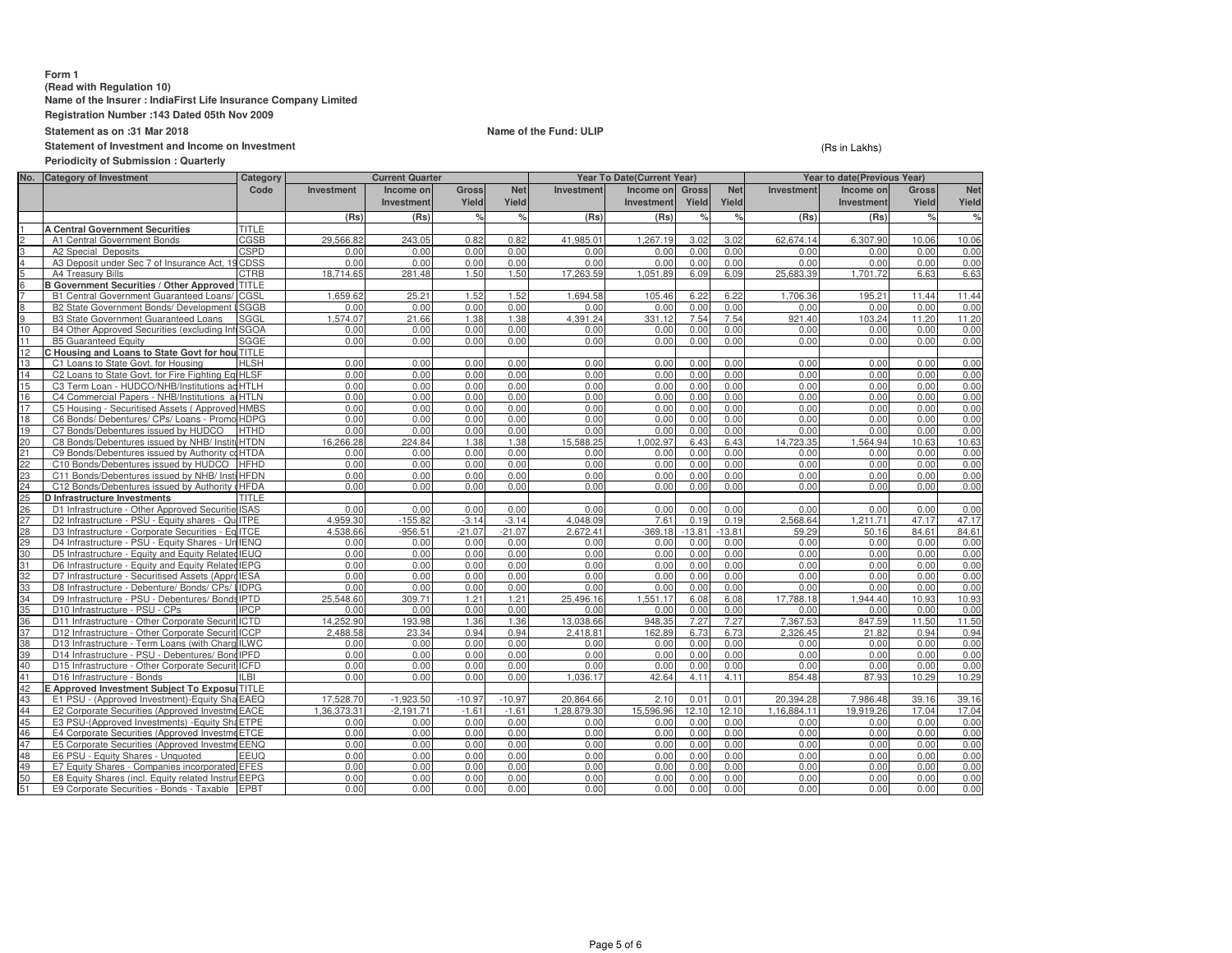### **Form 1 (Read with Regulation 10) Name of the Insurer : IndiaFirst Life Insurance Company LimitedRegistration Number :143 Dated 05th Nov 2009**

**Statement as on :31 Mar 2018**

# **Name of the Fund: ULIP**

**Statement of Investment and Income on Investment**

**Periodicity of Submission : Quarterly**

(Rs in Lakhs)

| No.      | <b>Category of Investment</b>                                                       | Category    |              | <b>Current Quarter</b> |                    |              |              | <b>Year To Date(Current Year)</b> |               |               | Year to date(Previous Year) |                   |               |               |
|----------|-------------------------------------------------------------------------------------|-------------|--------------|------------------------|--------------------|--------------|--------------|-----------------------------------|---------------|---------------|-----------------------------|-------------------|---------------|---------------|
|          |                                                                                     | Code        | Investment   | Income on              | <b>Gross</b>       | <b>Net</b>   | Investment   | Income on                         | Gross         | <b>Net</b>    | Investment                  | Income on         | <b>Gross</b>  | <b>Net</b>    |
|          |                                                                                     |             |              | <b>Investment</b>      | Yield              | Yield        |              | Investment                        | Yield         | Yield         |                             | <b>Investment</b> | Yield         | Yield         |
|          |                                                                                     |             | (Rs)         | (Rs)                   | $\frac{1}{\alpha}$ | %            | (Rs)         | (Rs)                              | $\frac{1}{6}$ | $\frac{1}{2}$ | (Rs)                        | (Rs)              | $\frac{9}{6}$ | $\frac{1}{6}$ |
|          | <b>A Central Government Securities</b>                                              | TITLE       |              |                        |                    |              |              |                                   |               |               |                             |                   |               |               |
|          | A1 Central Government Bonds                                                         | CGSB        | 29,566.82    | 243.05                 | 0.82               | 0.82         | 41,985.01    | 1,267.19                          | 3.02          | 3.02          | 62.674.14                   | 6.307.90          | 10.06         | 10.06         |
|          | A2 Special Deposits                                                                 | <b>CSPD</b> | 0.00         | 0.00                   | 0.00               | 0.00         | 0.00         | 0.00                              | 0.00          | 0.00          | 0.00                        | 0.00              | 0.00          | 0.00          |
|          | A3 Deposit under Sec 7 of Insurance Act, 19 CDSS                                    |             | 0.00         | 0.00                   | 0.00               | 0.00         | 0.00         | 0.00                              | 0.00          | 0.00          | 0.00                        | 0.00              | 0.00          | 0.00          |
|          | A4 Treasury Bills                                                                   | CTRB        | 18.714.65    | 281.48                 | 1.50               | 1.50         | 17.263.59    | 1.051.89                          | 6.09          | 6.09          | 25.683.39                   | 1.701.72          | 6.63          | 6.63          |
|          | B Government Securities / Other Approved TITLE                                      |             |              |                        |                    |              |              |                                   |               |               |                             |                   |               |               |
|          | B1 Central Government Guaranteed Loans/                                             | CGSL        | 1,659.62     | 25.21                  | 1.52               | 1.52         | 1,694.58     | 105.46                            | 6.22          | 6.22          | 1,706.36                    | 195.21            | 11.44         | 11.44         |
|          | B2 State Government Bonds/ Development                                              | SGGB        | 0.00         | 0.00                   | 0.00               | 0.00         | 0.00         | 0.00                              | 0.00          | 0.00          | 0.00                        | 0.00              | 0.00          | 0.00          |
|          | <b>B3 State Government Guaranteed Loans</b>                                         | SGGL        | 1.574.07     | 21.66                  | 1.38               | 1.38         | 4.391.24     | 331.12                            | 7.54          | 7.54          | 921.40                      | 103.24            | 11.20         | 11.20         |
| 10       | B4 Other Approved Securities (excluding Inf                                         | <b>SGOA</b> | 0.00         | 0.00                   | 0.00               | 0.00         | 0.00         | 0.00                              | 0.00          | 0.00          | 0.00                        | 0.00              | 0.00          | 0.00          |
| 11       | <b>B5 Guaranteed Equity</b>                                                         | SGGE        | 0.00         | 0.00                   | 0.00               | 0.00         | 0.00         | 0.00                              | 0.00          | 0.00          | 0.00                        | 0.00              | 0.00          | 0.00          |
| 12       | C Housing and Loans to State Govt for hou TITLE                                     |             |              |                        |                    |              |              |                                   |               |               |                             |                   |               |               |
| 13       | C1 Loans to State Govt. for Housing                                                 | <b>HLSH</b> | 0.00         | 0.00                   | 0.00               | 0.00         | 0.00         | 0.00                              | 0.00          | 0.00          | 0.00                        | 0.00              | 0.00          | 0.00          |
| 14       | C2 Loans to State Govt, for Fire Fighting EquHLSF                                   |             | 0.00         | 0.00                   | 0.00               | 0.00         | 0.00         | 0.00                              | 0.00          | 0.00          | 0.00                        | 0.00              | 0.00          | 0.00          |
| 15       | C3 Term Loan - HUDCO/NHB/Institutions ad HTLH                                       |             | 0.00         | 0.00                   | 0.00               | 0.00         | 0.00         | 0.00                              | 0.00          | 0.00          | 0.00                        | 0.00              | 0.00          | 0.00          |
| 16       | C4 Commercial Papers - NHB/Institutions adHTLN                                      |             | 0.00         | 0.00                   | 0.00               | 0.00         | 0.00         | 0.00                              | 0.00          | 0.00          | 0.00                        | 0.00              | 0.00          | 0.00          |
| 17       | C5 Housing - Securitised Assets (Approved HMBS                                      |             | 0.00         | 0.00                   | 0.00               | 0.00         | 0.00         | 0.00                              | 0.00          | 0.00          | 0.00                        | 0.00              | 0.00          | 0.00          |
| 18       | C6 Bonds/ Debentures/ CPs/ Loans - Promo HDPG                                       |             | 0.00         | 0.00                   | 0.00               | 0.00         | 0.00         | 0.00                              | 0.00          | 0.00          | 0.00                        | 0.00              | 0.00          | 0.00          |
| 19       | C7 Bonds/Debentures issued by HUDCO                                                 | <b>HTHD</b> | 0.00         | 0.00                   | 0.00               | 0.00         | 0.00         | 0.00                              | 0.00          | 0.00          | 0.00                        | 0.00              | 0.00          | 0.00          |
| 20       | C8 Bonds/Debentures issued by NHB/ InstituHTDN                                      |             | 16.266.28    | 224.84                 | 1.38               | 1.38         | 15.588.25    | 1.002.97                          | 6.43          | 6.43          | 14.723.35                   | 1.564.94          | 10.63         | 10.63         |
| 21       | C9 Bonds/Debentures issued by Authority coHTDA                                      |             | 0.00         | 0.00                   | 0.00               | 0.00         | 0.00         | 0.00                              | 0.00          | 0.00          | 0.00                        | 0.00              | 0.00          | 0.00          |
| 22       | C10 Bonds/Debentures issued by HUDCO                                                | <b>HFHD</b> | 0.00         | 0.00                   | 0.00               | 0.00         | 0.00         | 0.00                              | 0.00          | 0.00          | 0.00                        | 0.00              | 0.00          | 0.00          |
| 23       | C11 Bonds/Debentures issued by NHB/ Insti HFDN                                      |             | 0.00         | 0.00                   | 0.00               | 0.00         | 0.00         | 0.00                              | 0.00          | 0.00          | 0.00                        | 0.00              | 0.00          | 0.00          |
| 24       | C12 Bonds/Debentures issued by Authority (HFDA                                      |             | 0.00         | 0.00                   | 0.00               | 0.00         | 0.00         | 0.00                              | 0.00          | 0.00          | 0.00                        | 0.00              | 0.00          | 0.00          |
| 25       | D Infrastructure Investments                                                        | TITLE       |              |                        |                    |              |              |                                   |               |               |                             |                   |               |               |
| 26       | D1 Infrastructure - Other Approved Securitie ISAS                                   |             | 0.00         | 0.00                   | 0.00               | 0.00         | 0.00         | 0.00                              | 0.00          | 0.00          | 0.00                        | 0.00              | 0.00          | 0.00          |
| 27       | D2 Infrastructure - PSU - Equity shares - QuilTPE                                   |             | 4.959.30     | $-155.82$              | $-3.14$            | $-3.14$      | 4.048.09     | 7.61                              | 0.19          | 0.19          | 2.568.64                    | 1.211.71          | 47.17         | 47.17         |
| 28       | D3 Infrastructure - Corporate Securities - Eq ITCE                                  |             | 4.538.66     | $-956.51$              | $-21.07$           | $-21.07$     | 2.672.41     | $-369.18$                         | $-13.81$      | $-13.81$      | 59.29                       | 50.16             | 84.61         | 84.61         |
| 29       | D4 Infrastructure - PSU - Equity Shares - Un IENQ                                   |             | 0.00         | 0.00                   | 0.00               | 0.00         | 0.00         | 0.00                              | 0.00          | 0.00          | 0.00                        | 0.00              | 0.00          | 0.00          |
| 30       | D5 Infrastructure - Equity and Equity Related IEUQ                                  |             | 0.00         | 0.00                   | 0.00               | 0.00         | 0.00         | 0.00                              | 0.00          | 0.00          | 0.00                        | 0.00              | 0.00          | 0.00          |
| 31       | D6 Infrastructure - Equity and Equity Related IEPG                                  |             | 0.00         | 0.00                   | 0.00               | 0.00         | 0.00         | 0.00                              | 0.00          | 0.00          | 0.00                        | 0.00              | 0.00          | 0.00          |
| 32       | D7 Infrastructure - Securitised Assets (Appro IESA                                  |             | 0.00         | 0.00                   | 0.00               | 0.00         | 0.00         | 0.00                              | 0.00          | 0.00          | 0.00                        | 0.00              | 0.00          | 0.00          |
| 33       | D8 Infrastructure - Debenture/ Bonds/ CPs/ IIDPG                                    |             | 0.00         | 0.00                   | 0.00               | 0.00         | 0.00         | 0.00                              | 0.00          | 0.00          | 0.00                        | 0.00              | 0.00          | 0.00          |
| 34       | D9 Infrastructure - PSU - Debentures/ Bonds IPTD                                    |             | 25.548.60    | 309.71                 | 1.21               | 1.21         | 25,496.16    | 1.551.17                          | 6.08          | 6.08          | 17.788.18                   | 1.944.40          | 10.93         | 10.93         |
| 35       | D10 Infrastructure - PSU - CPs                                                      | <b>IPCP</b> | 0.00         | 0.00                   | 0.00               | 0.00         | 0.00         | 0.00                              | 0.00          | 0.00          | 0.00                        | 0.00              | 0.00          | 0.00          |
| 36       | D11 Infrastructure - Other Corporate Securit ICTD                                   |             | 14.252.90    | 193.98                 | 1.36               | 1.36         | 13,038.66    | 948.35                            | 7.27          | 7.27          | 7.367.53                    | 847.59            | 11.50         | 11.50         |
| 37       | D12 Infrastructure - Other Corporate Securit ICCP                                   |             | 2.488.58     | 23.34                  | 0.94               | 0.94         | 2.418.81     | 162.89                            | 6.73          | 6.73          | 2.326.45                    | 21.82             | 0.94          | 0.94          |
| 38       | D13 Infrastructure - Term Loans (with Charg ILWC                                    |             | 0.00         | 0.00                   | 0.00               | 0.00         | 0.00         | 0.00                              | 0.00          | 0.00          | 0.00                        | 0.00              | 0.00          | 0.00          |
| 39       | D14 Infrastructure - PSU - Debentures/ Bond IPFD                                    |             | 0.00         | 0.00                   | 0.00               | 0.00         | 0.00         | 0.00                              | 0.00          | 0.00          | 0.00                        | 0.00              | 0.00          | 0.00          |
| 40       | D15 Infrastructure - Other Corporate Securit ICFD                                   |             | 0.00         | 0.00                   | 0.00               | 0.00         | 0.00         | 0.00                              | 0.00          | 0.00          | 0.00                        | 0.00              | 0.00          | 0.00          |
| 41       | D16 Infrastructure - Bonds                                                          | ILBI        | 0.00         | 0.00                   | 0.00               | 0.00         | 1,036.17     | 42.64                             | 4.11          | 4.11          | 854.48                      | 87.93             | 10.29         | 10.29         |
| 42       | E Approved Investment Subiect To ExposulTITLE                                       |             |              |                        |                    |              |              |                                   |               |               |                             |                   |               |               |
| 43       | E1 PSU - (Approved Investment)-Equity Sha EAEQ                                      |             | 17.528.70    | $-1.923.50$            | $-10.97$           | $-10.97$     | 20.864.66    | 2.10                              | 0.01          | 0.01          | 20.394.28                   | 7.986.48          | 39.16         | 39.16         |
| 44       | E2 Corporate Securities (Approved InvestmeEACE                                      |             | 1.36.373.31  | $-2.191.71$            | $-1.61$            | $-1.61$      | 1,28,879.30  | 15,596.96                         | 12.10         | 12.10         | 1.16.884.11                 | 19.919.26         | 17.04         | 17.04         |
| 45<br>46 | E3 PSU-(Approved Investments) - Equity ShaETPE                                      |             | 0.00         | 0.00                   | 0.00               | 0.00         | 0.00         | 0.00                              | 0.00          | 0.00          | 0.00                        | 0.00              | 0.00          | 0.00<br>0.00  |
| 47       | E4 Corporate Securities (Approved InvestmeETCE                                      |             | 0.00<br>0.00 | 0.00                   | 0.00<br>0.00       | 0.00<br>0.00 | 0.00         | 0.00<br>0.00                      | 0.00<br>0.00  | 0.00          | 0.00<br>0.00                | 0.00              | 0.00<br>0.00  | 0.00          |
| 48       | E5 Corporate Securities (Approved InvestmeEENQ<br>E6 PSU - Equity Shares - Unquoted | EEUQ        | 0.00         | 0.00<br>0.00           | 0.00               | 0.00         | 0.00<br>0.00 | 0.00                              | 0.00          | 0.00<br>0.00  | 0.00                        | 0.00<br>0.00      | 0.00          | 0.00          |
| 49       | E7 Equity Shares - Companies incorporated EFES                                      |             | 0.00         | 0.00                   | 0.00               | 0.00         | 0.00         | 0.00                              | 0.00          | 0.00          | 0.00                        | 0.00              | 0.00          | 0.00          |
| 50       | E8 Equity Shares (incl. Equity related Instrur EEPG                                 |             | 0.00         | 0.00                   | 0.00               | 0.00         | 0.00         | 0.00                              | 0.00          | 0.00          | 0.00                        | 0.00              | 0.00          | 0.00          |
| 51       | E9 Corporate Securities - Bonds - Taxable                                           | <b>EPBT</b> | 0.00         | 0.00                   | 0.00               | 0.00         | 0.00         | 0.00                              | 0.00          | 0.00          | 0.00                        | 0.00              | 0.00          | 0.00          |
|          |                                                                                     |             |              |                        |                    |              |              |                                   |               |               |                             |                   |               |               |